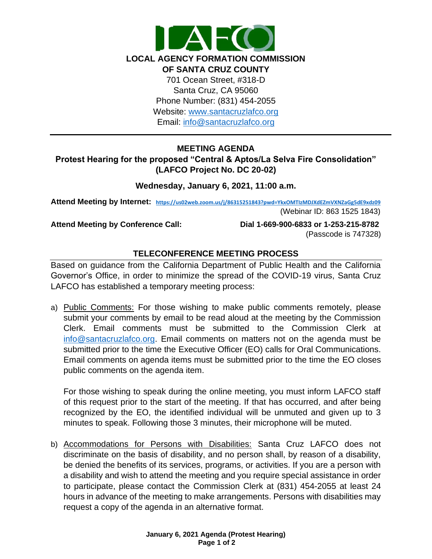

Email: [info@santacruzlafco.org](mailto:info@santacruzlafco.org)

# **MEETING AGENDA**

# **Protest Hearing for the proposed "Central & Aptos/La Selva Fire Consolidation" (LAFCO Project No. DC 20-02)**

#### **Wednesday, January 6, 2021, 11:00 a.m.**

**Attend Meeting by Internet: <https://us02web.zoom.us/j/86315251843?pwd=YkxOMTIzMDJXdEZmVXNZaGg5dE9xdz09>** (Webinar ID: 863 1525 1843)

**Attend Meeting by Conference Call: Dial 1-669-900-6833 or 1-253-215-8782**  (Passcode is 747328)

# **TELECONFERENCE MEETING PROCESS**

Based on guidance from the California Department of Public Health and the California Governor's Office, in order to minimize the spread of the COVID-19 virus, Santa Cruz LAFCO has established a temporary meeting process:

a) Public Comments: For those wishing to make public comments remotely, please submit your comments by email to be read aloud at the meeting by the Commission Clerk. Email comments must be submitted to the Commission Clerk at [info@santacruzlafco.org.](mailto:info@santacruzlafco.org) Email comments on matters not on the agenda must be submitted prior to the time the Executive Officer (EO) calls for Oral Communications. Email comments on agenda items must be submitted prior to the time the EO closes public comments on the agenda item.

For those wishing to speak during the online meeting, you must inform LAFCO staff of this request prior to the start of the meeting. If that has occurred, and after being recognized by the EO, the identified individual will be unmuted and given up to 3 minutes to speak. Following those 3 minutes, their microphone will be muted.

b) Accommodations for Persons with Disabilities: Santa Cruz LAFCO does not discriminate on the basis of disability, and no person shall, by reason of a disability, be denied the benefits of its services, programs, or activities. If you are a person with a disability and wish to attend the meeting and you require special assistance in order to participate, please contact the Commission Clerk at (831) 454-2055 at least 24 hours in advance of the meeting to make arrangements. Persons with disabilities may request a copy of the agenda in an alternative format.